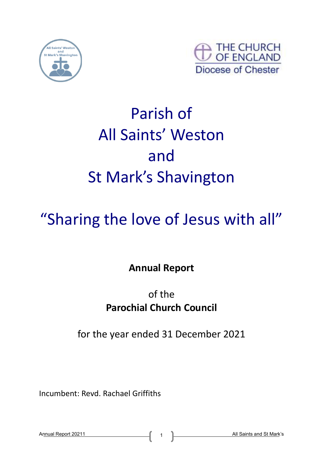



# Parish of All Saints' Weston and St Mark's Shavington

# "Sharing the love of Jesus with all"

**Annual Report**

# of the **Parochial Church Council**

for the year ended 31 December 2021

Incumbent: Revd. Rachael Griffiths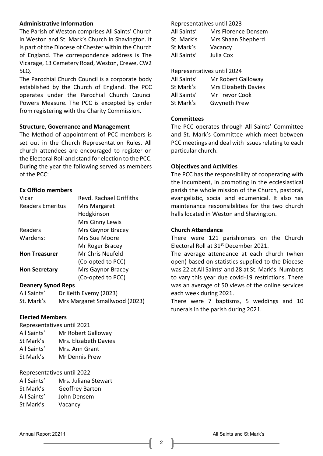# **Administrative Information**

The Parish of Weston comprises All Saints' Church in Weston and St. Mark's Church in Shavington. It is part of the Diocese of Chester within the Church of England. The correspondence address is The Vicarage, 13 Cemetery Road, Weston, Crewe, CW2 5LQ.

The Parochial Church Council is a corporate body established by the Church of England. The PCC operates under the Parochial Church Council Powers Measure. The PCC is excepted by order from registering with the Charity Commission.

#### **Structure, Governance and Management**

The Method of appointment of PCC members is set out in the Church Representation Rules. All church attendees are encouraged to register on the Electoral Roll and stand for election to the PCC. During the year the following served as members of the PCC:

#### **Ex Officio members**

| Vicar                | Revd. Rachael Griffiths |  |  |  |  |
|----------------------|-------------------------|--|--|--|--|
| Readers Emeritus     | Mrs Margaret            |  |  |  |  |
|                      | Hodgkinson              |  |  |  |  |
|                      | Mrs Ginny Lewis         |  |  |  |  |
| Readers              | Mrs Gaynor Bracey       |  |  |  |  |
| Wardens:             | Mrs Sue Moore           |  |  |  |  |
|                      | Mr Roger Bracey         |  |  |  |  |
| <b>Hon Treasurer</b> | Mr Chris Neufeld        |  |  |  |  |
|                      | (Co-opted to PCC)       |  |  |  |  |
| <b>Hon Secretary</b> | Mrs Gaynor Bracey       |  |  |  |  |
|                      | (Co-opted to PCC)       |  |  |  |  |
|                      |                         |  |  |  |  |

#### **Deanery Synod Reps**

| All Saints' | Dr Keith Evemy (2023)         |
|-------------|-------------------------------|
| St. Mark's  | Mrs Margaret Smallwood (2023) |

### **Elected Members**

| Representatives until 2021 |                       |  |  |  |  |
|----------------------------|-----------------------|--|--|--|--|
| All Saints'                | Mr Robert Galloway    |  |  |  |  |
| St Mark's                  | Mrs. Elizabeth Davies |  |  |  |  |
| All Saints'                | Mrs. Ann Grant        |  |  |  |  |
| St Mark's                  | Mr Dennis Prew        |  |  |  |  |

#### Representatives until 2022

| All Saints' | Mrs. Juliana Stewart   |
|-------------|------------------------|
| St Mark's   | <b>Geoffrey Barton</b> |
| All Saints' | John Densem            |
| St Mark's   | Vacancy                |

#### Representatives until 2023

| All Saints' | Mrs Florence Densem |
|-------------|---------------------|
| St. Mark's  | Mrs Shaan Shepherd  |
| St Mark's   | Vacancy             |
| All Saints' | Julia Cox           |

#### Representatives until 2024

| All Saints' | Mr Robert Galloway   |
|-------------|----------------------|
| St Mark's   | Mrs Elizabeth Davies |
| All Saints' | Mr Trevor Cook       |
| St Mark's   | <b>Gwyneth Prew</b>  |

#### **Committees**

The PCC operates through All Saints' Committee and St. Mark's Committee which meet between PCC meetings and deal with issues relating to each particular church.

#### **Objectives and Activities**

The PCC has the responsibility of cooperating with the incumbent, in promoting in the ecclesiastical parish the whole mission of the Church, pastoral, evangelistic, social and ecumenical. It also has maintenance responsibilities for the two church halls located in Weston and Shavington.

#### **Church Attendance**

There were 121 parishioners on the Church Electoral Roll at 31<sup>st</sup> December 2021.

The average attendance at each church (when open) based on statistics supplied to the Diocese was 22 at All Saints' and 28 at St. Mark's. Numbers to vary this year due covid-19 restrictions. There was an average of 50 views of the online services each week during 2021.

There were 7 baptisms, 5 weddings and 10 funerals in the parish during 2021.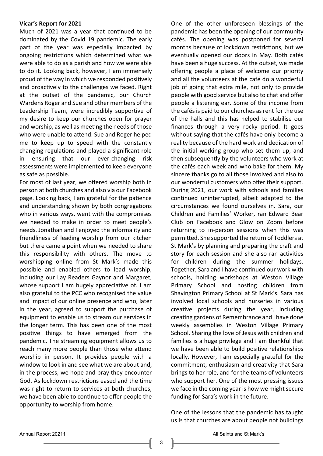#### **Vicar's Report for 2021**

Much of 2021 was a year that continued to be dominated by the Covid 19 pandemic. The early part of the year was especially impacted by ongoing restrictions which determined what we were able to do as a parish and how we were able to do it. Looking back, however, I am immensely proud of the way in which we responded positively and proactively to the challenges we faced. Right at the outset of the pandemic, our Church Wardens Roger and Sue and other members of the Leadership Team, were incredibly supportive of my desire to keep our churches open for prayer and worship, as well as meeting the needs of those who were unable to attend. Sue and Roger helped me to keep up to speed with the constantly changing regulations and played a significant role in ensuring that our ever-changing risk assessments were implemented to keep everyone as safe as possible.

For most of last year, we offered worship both in person at both churches and also via our Facebook page. Looking back, I am grateful for the patience and understanding shown by both congregations who in various ways, went with the compromises we needed to make in order to meet people's needs. Jonathan and I enjoyed the informality and friendliness of leading worship from our kitchen but there came a point when we needed to share this responsibility with others. The move to worshipping online from St Mark's made this possible and enabled others to lead worship, including our Lay Readers Gaynor and Margaret, whose support I am hugely appreciative of. I am also grateful to the PCC who recognised the value and impact of our online presence and who, later in the year, agreed to support the purchase of equipment to enable us to stream our services in the longer term. This has been one of the most positive things to have emerged from the pandemic. The streaming equipment allows us to reach many more people than those who attend worship in person. It provides people with a window to look in and see what we are about and, in the process, we hope and pray they encounter God. As lockdown restrictions eased and the time was right to return to services at both churches, we have been able to continue to offer people the opportunity to worship from home.

One of the other unforeseen blessings of the pandemic has been the opening of our community cafés. The opening was postponed for several months because of lockdown restrictions, but we eventually opened our doors in May. Both cafés have been a huge success. At the outset, we made offering people a place of welcome our priority and all the volunteers at the café do a wonderful job of going that extra mile, not only to provide people with good service but also to chat and offer people a listening ear. Some of the income from the cafés is paid to our churches as rent for the use of the halls and this has helped to stabilise our finances through a very rocky period. It goes without saying that the cafés have only become a reality because of the hard work and dedication of the initial working group who set them up, and then subsequently by the volunteers who work at the cafés each week and who bake for them. My sincere thanks go to all those involved and also to our wonderful customers who offer their support. During 2021, our work with schools and families continued uninterrupted, albeit adapted to the circumstances we found ourselves in. Sara, our Children and Families' Worker, ran Edward Bear Club on Facebook and Glow on Zoom before returning to in-person sessions when this was permitted. She supported the return of Toddlers at St Mark's by planning and preparing the craft and story for each session and she also ran activities for children during the summer holidays. Together, Sara and I have continued our work with schools, holding workshops at Weston Village Primary School and hosting children from Shavington Primary School at St Mark's. Sara has involved local schools and nurseries in various creative projects during the year, including creating gardens of Remembrance and I have done weekly assemblies in Weston Village Primary School. Sharing the love of Jesus with children and families is a huge privilege and I am thankful that we have been able to build positive relationships locally. However, I am especially grateful for the commitment, enthusiasm and creativity that Sara brings to her role, and for the teams of volunteers who support her. One of the most pressing issues we face in the coming year is how we might secure funding for Sara's work in the future.

One of the lessons that the pandemic has taught us is that churches are about people not buildings

3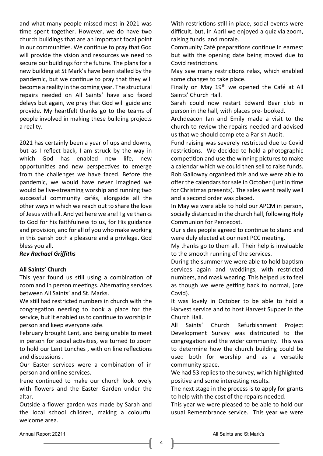and what many people missed most in 2021 was time spent together. However, we do have two church buildings that are an important focal point in our communities. We continue to pray that God will provide the vision and resources we need to secure our buildings for the future. The plans for a new building at St Mark's have been stalled by the pandemic, but we continue to pray that they will become a reality in the coming year. The structural repairs needed on All Saints' have also faced delays but again, we pray that God will guide and provide. My heartfelt thanks go to the teams of people involved in making these building projects a reality.

2021 has certainly been a year of ups and downs, but as I reflect back, I am struck by the way in which God has enabled new life, new opportunities and new perspectives to emerge from the challenges we have faced. Before the pandemic, we would have never imagined we would be live-streaming worship and running two successful community cafés, alongside all the other ways in which we reach out to share the love of Jesus with all. And yet here we are! I give thanks to God for his faithfulness to us, for His guidance and provision, and for all of you who make working in this parish both a pleasure and a privilege. God bless you all.

# *Rev Rachael Griffiths*

# **All Saints' Church**

This year found us still using a combination of zoom and in person meetings. Alternating services between All Saints' and St. Marks.

We still had restricted numbers in church with the congregation needing to book a place for the service, but it enabled us to continue to worship in person and keep everyone safe.

February brought Lent, and being unable to meet in person for social activities, we turned to zoom to hold our Lent Lunches , with on line reflections and discussions .

Our Easter services were a combination of in person and online services.

Irene continued to make our church look lovely with flowers and the Easter Garden under the altar.

Outside a flower garden was made by Sarah and the local school children, making a colourful welcome area.

With restrictions still in place, social events were difficult, but, in April we enjoyed a quiz via zoom, raising funds and morale.

Community Café preparations continue in earnest but with the opening date being moved due to Covid restrictions.

May saw many restrictions relax, which enabled some changes to take place.

Finally on May 19<sup>th</sup> we opened the Café at All Saints' Church Hall.

Sarah could now restart Edward Bear club in person in the hall, with places pre- booked.

Archdeacon Ian and Emily made a visit to the church to review the repairs needed and advised us that we should complete a Parish Audit.

Fund raising was severely restricted due to Covid restrictions. We decided to hold a photographic competition and use the winning pictures to make a calendar which we could then sell to raise funds. Rob Galloway organised this and we were able to offer the calendars for sale in October (just in time for Christmas presents). The sales went really well and a second order was placed.

In May we were able to hold our APCM in person, socially distanced in the church hall, following Holy Communion for Pentecost.

Our sides people agreed to continue to stand and were duly elected at our next PCC meeting.

My thanks go to them all. Their help is invaluable to the smooth running of the services.

During the summer we were able to hold baptism services again and weddings, with restricted numbers, and mask wearing. This helped us to feel as though we were getting back to normal, (pre Covid).

It was lovely in October to be able to hold a Harvest service and to host Harvest Supper in the Church Hall.

All Saints' Church Refurbishment Project Development Survey was distributed to the congregation and the wider community. This was to determine how the church building could be used both for worship and as a versatile community space.

We had 53 replies to the survey, which highlighted positive and some interesting results.

The next stage in the process is to apply for grants to help with the cost of the repairs needed.

This year we were pleased to be able to hold our usual Remembrance service. This year we were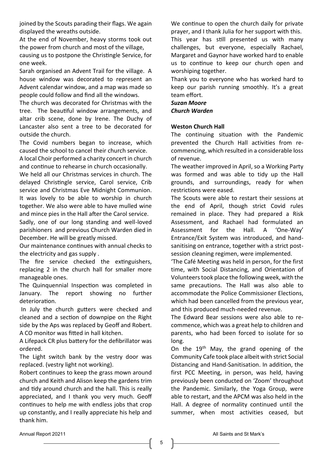joined by the Scouts parading their flags. We again displayed the wreaths outside.

At the end of November, heavy storms took out the power from church and most of the village,

causing us to postpone the Christingle Service, for one week.

Sarah organised an Advent Trail for the village. A house window was decorated to represent an Advent calendar window, and a map was made so people could follow and find all the windows.

The church was decorated for Christmas with the tree. The beautiful window arrangements, and altar crib scene, done by Irene. The Duchy of Lancaster also sent a tree to be decorated for outside the church.

The Covid numbers began to increase, which caused the school to cancel their church service.

A local Choir performed a charity concert in church and continue to rehearse in church occasionally.

We held all our Christmas services in church. The delayed Christingle service, Carol service, Crib service and Christmas Eve Midnight Communion. It was lovely to be able to worship in church together. We also were able to have mulled wine and mince pies in the Hall after the Carol service.

Sadly, one of our long standing and well-loved parishioners and previous Church Warden died in December. He will be greatly missed.

Our maintenance continues with annual checks to the electricity and gas supply .

The fire service checked the extinguishers, replacing 2 in the church hall for smaller more manageable ones.

The Quinquennial Inspection was completed in January. The report showing no further deterioration.

In July the church gutters were checked and cleaned and a section of downpipe on the Right side by the Aps was replaced by Geoff and Robert. A CO monitor was fitted in hall kitchen.

A Lifepack CR plus battery for the defibrillator was ordered.

The Light switch bank by the vestry door was replaced. (vestry light not working).

Robert continues to keep the grass mown around church and Keith and Alison keep the gardens trim and tidy around church and the hall. This is really appreciated, and I thank you very much. Geoff continues to help me with endless jobs that crop up constantly, and I really appreciate his help and thank him.

We continue to open the church daily for private prayer, and I thank Julia for her support with this. This year has still presented us with many challenges, but everyone, especially Rachael, Margaret and Gaynor have worked hard to enable us to continue to keep our church open and worshiping together.

Thank you to everyone who has worked hard to keep our parish running smoothly. It's a great team effort.

# *Suzan Moore Church Warden*

# **Weston Church Hall**

The continuing situation with the Pandemic prevented the Church Hall activities from recommencing, which resulted in a considerable loss of revenue.

The weather improved in April, so a Working Party was formed and was able to tidy up the Hall grounds, and surroundings, ready for when restrictions were eased.

The Scouts were able to restart their sessions at the end of April, though strict Covid rules remained in place. They had prepared a Risk Assessment, and Rachael had formulated an Assessment for the Hall. A 'One-Way' Entrance/Exit System was introduced, and handsanitising on entrance, together with a strict postsession cleaning regimen, were implemented.

'The Café Meeting was held in person, for the first time, with Social Distancing, and Orientation of Volunteers took place the following week, with the same precautions. The Hall was also able to accommodate the Police Commissioner Elections, which had been cancelled from the previous year, and this produced much-needed revenue.

The Edward Bear sessions were also able to recommence, which was a great help to children and parents, who had been forced to isolate for so long.

On the  $19<sup>th</sup>$  May, the grand opening of the Community Cafe took place albeit with strict Social Distancing and Hand-Sanitisation. In addition, the first PCC Meeting, in person, was held, having previously been conducted on 'Zoom' throughout the Pandemic. Similarly, the Yoga Group, were able to restart, and the APCM was also held in the Hall. A degree of normality continued until the summer, when most activities ceased, but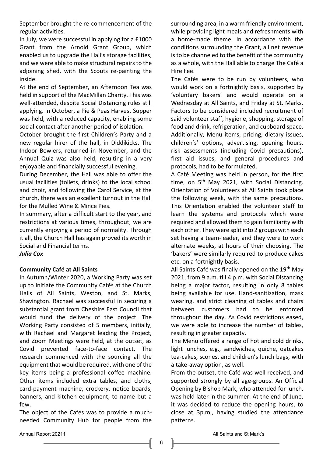September brought the re-commencement of the regular activities.

In July, we were successful in applying for a £1000 Grant from the Arnold Grant Group, which enabled us to upgrade the Hall's storage facilities, and we were able to make structural repairs to the adjoining shed, with the Scouts re-painting the inside.

At the end of September, an Afternoon Tea was held in support of the MacMillan Charity. This was well-attended, despite Social Distancing rules still applying. In October, a Pie & Peas Harvest Supper was held, with a reduced capacity, enabling some social contact after another period of isolation.

October brought the first Children's Party and a new regular hirer of the hall, in Diddikicks. The Indoor Bowlers, returned in November, and the Annual Quiz was also held, resulting in a very enjoyable and financially successful evening.

During December, the Hall was able to offer the usual facilities (toilets, drinks) to the local school and choir, and following the Carol Service, at the church, there was an excellent turnout in the Hall for the Mulled Wine & Mince Pies.

In summary, after a difficult start to the year, and restrictions at various times, throughout, we are currently enjoying a period of normality. Through it all, the Church Hall has again proved its worth in Social and Financial terms.

# *Julia Cox*

# **Community Café at All Saints**

In Autumn/Winter 2020, a Working Party was set up to initiate the Community Cafés at the Church Halls of All Saints, Weston, and St. Marks, Shavington. Rachael was successful in securing a substantial grant from Cheshire East Council that would fund the delivery of the project. The Working Party consisted of 5 members, initially, with Rachael and Margaret leading the Project, and Zoom Meetings were held, at the outset, as Covid prevented face-to-face contact. The research commenced with the sourcing all the equipment that would be required, with one of the key items being a professional coffee machine. Other items included extra tables, and cloths, card-payment machine, crockery, notice boards, banners, and kitchen equipment, to name but a few.

The object of the Cafés was to provide a muchneeded Community Hub for people from the

surrounding area, in a warm friendly environment, while providing light meals and refreshments with a home-made theme. In accordance with the conditions surrounding the Grant, all net revenue is to be channeled to the benefit of the community as a whole, with the Hall able to charge The Café a Hire Fee.

The Cafés were to be run by volunteers, who would work on a fortnightly basis, supported by 'voluntary bakers' and would operate on a Wednesday at All Saints, and Friday at St. Marks. Factors to be considered included recruitment of said volunteer staff, hygiene, shopping, storage of food and drink, refrigeration, and cupboard space. Additionally, Menu items, pricing, dietary issues, children's' options, advertising, opening hours, risk assessments (including Covid precautions), first aid issues, and general procedures and protocols, had to be formulated.

A Café Meeting was held in person, for the first time, on  $5<sup>th</sup>$  May 2021, with Social Distancing. Orientation of Volunteers at All Saints took place the following week, with the same precautions. This Orientation enabled the volunteer staff to learn the systems and protocols which were required and allowed them to gain familiarity with each other. They were split into 2 groups with each set having a team-leader, and they were to work alternate weeks, at hours of their choosing. The 'bakers' were similarly required to produce cakes etc. on a fortnightly basis.

All Saints Café was finally opened on the 19<sup>th</sup> May 2021, from 9 a.m. till 4 p.m. with Social Distancing being a major factor, resulting in only 8 tables being available for use. Hand-sanitization, mask wearing, and strict cleaning of tables and chairs between customers had to be enforced throughout the day. As Covid restrictions eased, we were able to increase the number of tables, resulting in greater capacity.

The Menu offered a range of hot and cold drinks, light lunches, e.g., sandwiches, quiche, oatcakes tea-cakes, scones, and children's lunch bags, with a take-away option, as well.

From the outset, the Café was well received, and supported strongly by all age-groups. An Official Opening by Bishop Mark, who attended for lunch, was held later in the summer. At the end of June, it was decided to reduce the opening hours, to close at 3p.m., having studied the attendance patterns.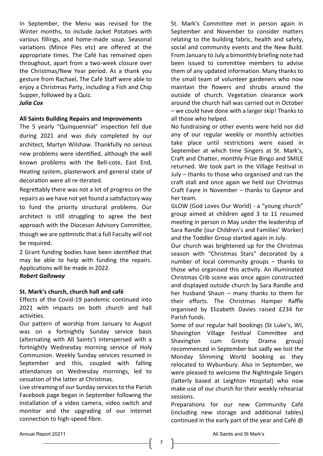In September, the Menu was revised for the Winter months, to include Jacket Potatoes with various fillings, and home-made soup. Seasonal variations (Mince Pies etc) are offered at the appropriate times. The Café has remained open throughout, apart from a two-week closure over the Christmas/New Year period. As a thank you gesture from Rachael, The Café Staff were able to enjoy a Christmas Party, including a Fish and Chip Supper, followed by a Quiz.

# *Julia Cox*

#### **All Saints Building Repairs and Improvements**

The 5 yearly "Quinquennial" inspection fell due during 2021 and was duly completed by our architect, Martyn Wilshaw. Thankfully no serious new problems were identified, although the well known problems with the Bell-cote, East End, Heating system, plasterwork and general state of decoration were all re-iterated.

Regrettably there was not a lot of progress on the repairs as we have not yet found a satisfactory way to fund the priority structural problems. Our architect is still struggling to agree the best approach with the Diocesan Advisory Committee, though we are optimistic that a full Faculty will not be required.

2 Grant funding bodies have been identified that may be able to help with funding the repairs. Applications will be made in 2022.

*Robert Galloway*

#### **St. Mark's church, church hall and café**

Effects of the Covid-19 pandemic continued into 2021 with impacts on both church and hall activities.

Our pattern of worship from January to August was on a fortnightly Sunday service basis (alternating with All Saints') interspersed with a fortnightly Wednesday morning service of Holy Communion. Weekly Sunday services resumed in September and this, coupled with falling attendances on Wednesday mornings, led to cessation of the latter at Christmas.

Live streaming of our Sunday services to the Parish Facebook page began in September following the installation of a video camera, video switch and monitor and the upgrading of our internet connection to high-speed fibre.

St. Mark's Committee met in person again in September and November to consider matters relating to the building fabric, health and safety, social and community events and the New Build. From January to July a bimonthly briefing note had been issued to committee members to advise them of any updated information. Many thanks to the small team of volunteer gardeners who now maintain the flowers and shrubs around the outside of church. Vegetation clearance work around the church hall was carried out in October – we could have done with a larger skip! Thanks to all those who helped.

No fundraising or other events were held nor did any of our regular weekly or monthly activities take place until restrictions were eased in September at which time Singers at St. Mark's, Craft and Chatter, monthly Prize Bingo and SMILE returned. We took part in the Village Festival in July – thanks to those who organised and ran the craft stall and once again we held our Christmas Craft Fayre in November – thanks to Gaynor and her team.

GLOW (God Loves Our World) - a "young church" group aimed at children aged 3 to 11 resumed meeting in person in May under the leadership of Sara Randle (our Children's and Families' Worker) and the Toddler Group started again in July.

Our church was brightened up for the Christmas season with "Christmas Stars" decorated by a number of local community groups – thanks to those who organised this activity. An illuminated Christmas Crib scene was once again constructed and displayed outside church by Sara Randle and her husband Shaun – many thanks to them for their efforts. The Christmas Hamper Raffle organised by Elizabeth Davies raised £234 for Parish funds.

Some of our regular hall bookings (St Luke's, WI, Shavington Village Festival Committee and Shavington cum Gresty Drama group) recommenced in September but sadly we lost the Monday Slimming World booking as they relocated to Wybunbury. Also in September, we were pleased to welcome the Nightingale Singers (latterly based at Leighton Hospital) who now make use of our church for their weekly rehearsal sessions.

Preparations for our new Community Café (including new storage and additional tables) continued in the early part of the year and Café @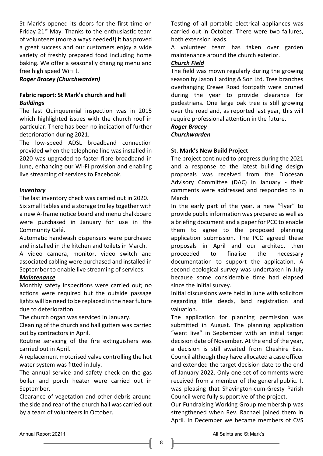St Mark's opened its doors for the first time on Friday  $21^{st}$  May. Thanks to the enthusiastic team of volunteers (more always needed!) it has proved a great success and our customers enjoy a wide variety of freshly prepared food including home baking. We offer a seasonally changing menu and free high speed WiFi !.

# *Roger Bracey (Churchwarden)*

# **Fabric report: St Mark's church and hall** *Buildings*

The last Quinquennial inspection was in 2015 which highlighted issues with the church roof in particular. There has been no indication of further deterioration during 2021.

The low-speed ADSL broadband connection provided when the telephone line was installed in 2020 was upgraded to faster fibre broadband in June, enhancing our Wi-Fi provision and enabling live streaming of services to Facebook.

# *Inventory*

The last inventory check was carried out in 2020. Six small tables and a storage trolley together with a new A-frame notice board and menu chalkboard were purchased in January for use in the Community Café.

Automatic handwash dispensers were purchased and installed in the kitchen and toilets in March.

A video camera, monitor, video switch and associated cabling were purchased and installed in September to enable live streaming of services.

# *Maintenance*

Monthly safety inspections were carried out; no actions were required but the outside passage lights will be need to be replaced in the near future due to deterioration.

The church organ was serviced in January.

Cleaning of the church and hall gutters was carried out by contractors in April.

Routine servicing of the fire extinguishers was carried out in April.

A replacement motorised valve controlling the hot water system was fitted in July.

The annual service and safety check on the gas boiler and porch heater were carried out in September.

Clearance of vegetation and other debris around the side and rear of the church hall was carried out by a team of volunteers in October.

Testing of all portable electrical appliances was carried out in October. There were two failures, both extension leads.

A volunteer team has taken over garden maintenance around the church exterior.

# *Church Field*

The field was mown regularly during the growing season by Jason Harding & Son Ltd. Tree branches overhanging Crewe Road footpath were pruned during the year to provide clearance for pedestrians. One large oak tree is still growing over the road and, as reported last year, this will require professional attention in the future.

*Roger Bracey* 

*Churchwarden* 

# **St. Mark's New Build Project**

The project continued to progress during the 2021 and a response to the latest building design proposals was received from the Diocesan Advisory Committee (DAC) in January - their comments were addressed and responded to in March.

In the early part of the year, a new "flyer" to provide public information was prepared as well as a briefing document and a paper for PCC to enable them to agree to the proposed planning application submission. The PCC agreed these proposals in April and our architect then proceeded to finalise the necessary documentation to support the application. A second ecological survey was undertaken in July because some considerable time had elapsed since the initial survey.

Initial discussions were held in June with solicitors regarding title deeds, land registration and valuation.

The application for planning permission was submitted in August. The planning application "went live" in September with an initial target decision date of November. At the end of the year, a decision is still awaited from Cheshire East Council although they have allocated a case officer and extended the target decision date to the end of January 2022. Only one set of comments were received from a member of the general public. It was pleasing that Shavington-cum-Gresty Parish Council were fully supportive of the project.

Our Fundraising Working Group membership was strengthened when Rev. Rachael joined them in April. In December we became members of CVS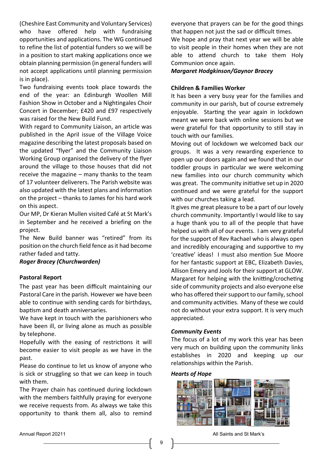(Cheshire East Community and Voluntary Services) who have offered help with fundraising opportunities and applications. The WG continued to refine the list of potential funders so we will be in a position to start making applications once we obtain planning permission (in general funders will not accept applications until planning permission is in place).

Two fundraising events took place towards the end of the year: an Edinburgh Woollen Mill Fashion Show in October and a Nightingales Choir Concert in December; £420 and £97 respectively was raised for the New Build Fund.

With regard to Community Liaison, an article was published in the April issue of the Village Voice magazine describing the latest proposals based on the updated "flyer" and the Community Liaison Working Group organised the delivery of the flyer around the village to those houses that did not receive the magazine – many thanks to the team of 17 volunteer deliverers. The Parish website was also updated with the latest plans and information on the project – thanks to James for his hard work on this aspect.

Our MP, Dr Kieran Mullen visited Café at St Mark's in September and he received a briefing on the project.

The New Build banner was "retired" from its position on the church field fence as it had become rather faded and tatty.

# *Roger Bracey (Churchwarden)*

#### **Pastoral Report**

The past year has been difficult maintaining our Pastoral Care in the parish. However we have been able to continue with sending cards for birthdays, baptism and death anniversaries.

We have kept in touch with the parishioners who have been ill, or living alone as much as possible by telephone.

Hopefully with the easing of restrictions it will become easier to visit people as we have in the past.

Please do continue to let us know of anyone who is sick or struggling so that we can keep in touch with them.

The Prayer chain has continued during lockdown with the members faithfully praying for everyone we receive requests from. As always we take this opportunity to thank them all, also to remind

everyone that prayers can be for the good things that happen not just the sad or difficult times.

We hope and pray that next year we will be able to visit people in their homes when they are not able to attend church to take them Holy Communion once again.

*Margaret Hodgkinson/Gaynor Bracey*

# **Children & Families Worker**

It has been a very busy year for the families and community in our parish, but of course extremely enjoyable. Starting the year again in lockdown meant we were back with online sessions but we were grateful for that opportunity to still stay in touch with our families.

Moving out of lockdown we welcomed back our groups. It was a very rewarding experience to open up our doors again and we found that in our toddler groups in particular we were welcoming new families into our church community which was great. The community initiative set up in 2020 continued and we were grateful for the support with our churches taking a lead.

It gives me great pleasure to be a part of our lovely church community. Importantly I would like to say a huge thank you to all of the people that have helped us with all of our events. I am very grateful for the support of Rev Rachael who is always open and incredibly encouraging and supportive to my 'creative' ideas! I must also mention Sue Moore for her fantastic support at EBC, Elizabeth Davies, Allison Emery and Jools for their support at GLOW. Margaret for helping with the knitting/crocheting side of community projects and also everyone else who has offered their support to our family, school and community activities. Many of these we could not do without your extra support. It is very much appreciated.

#### *Community Events*

The focus of a lot of my work this year has been very much on building upon the community links establishes in 2020 and keeping up our relationships within the Parish.

#### *Hearts of Hope*



Annual Report 20211 **All Saints and St Mark's** Annual Report 20211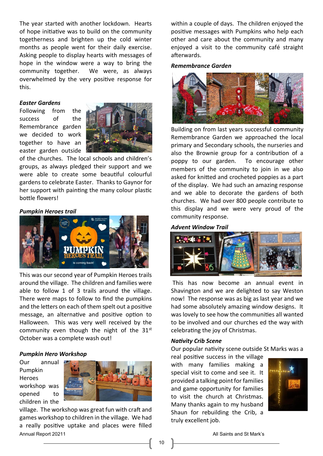The year started with another lockdown. Hearts of hope initiative was to build on the community togetherness and brighten up the cold winter months as people went for their daily exercise. Asking people to display hearts with messages of hope in the window were a way to bring the community together. We were, as always overwhelmed by the very positive response for this.

### *Easter Gardens*

Following from the success of the Remembrance garden we decided to work together to have an easter garden outside



of the churches. The local schools and children's groups, as always pledged their support and we were able to create some beautiful colourful gardens to celebrate Easter. Thanks to Gaynor for her support with painting the many colour plastic bottle flowers!

#### *Pumpkin Heroes trail*



This was our second year of Pumpkin Heroes trails around the village. The children and families were able to follow 1 of 3 trails around the village. There were maps to follow to find the pumpkins and the letters on each of them spelt out a positive message, an alternative and positive option to Halloween. This was very well received by the community even though the night of the  $31<sup>st</sup>$ October was a complete wash out!

#### *Pumpkin Hero Workshop*

Our annual Pumpkin Heroes workshop was opened to children in the



Annual Report 20211 **All Saints and St Mark's** All Saints and St Mark's village. The workshop was great fun with craft and games workshop to children in the village. We had a really positive uptake and places were filled

within a couple of days. The children enjoyed the positive messages with Pumpkins who help each other and care about the community and many enjoyed a visit to the community café straight afterwards.

#### *Remembrance Garden*



Building on from last years successful community Remembrance Garden we approached the local primary and Secondary schools, the nurseries and also the Brownie group for a contribution of a poppy to our garden. To encourage other members of the community to join in we also asked for knitted and crocheted poppies as a part of the display. We had such an amazing response and we able to decorate the gardens of both churches. We had over 800 people contribute to this display and we were very proud of the community response.

# *Advent Window Trail*



This has now become an annual event in Shavington and we are delighted to say Weston now! The response was as big as last year and we had some absolutely amazing window designs. It was lovely to see how the communities all wanted to be involved and our churches ed the way with celebrating the joy of Christmas.

#### *Nativity Crib Scene*

Our popular nativity scene outside St Marks was a

real positive success in the village with many families making a special visit to come and see it. It provided a talking point for families and game opportunity for families to visit the church at Christmas. Many thanks again to my husband Shaun for rebuilding the Crib, a truly excellent job.

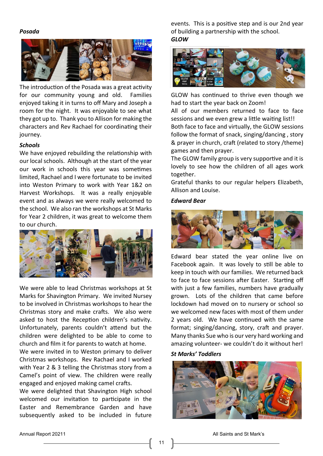#### *Posada*



The introduction of the Posada was a great activity for our community young and old. Families enjoyed taking it in turns to off Mary and Joseph a room for the night. It was enjoyable to see what they got up to. Thank you to Allison for making the characters and Rev Rachael for coordinating their journey.

#### *Schools*

We have enjoyed rebuilding the relationship with our local schools. Although at the start of the year our work in schools this year was sometimes limited, Rachael and I were fortunate to be invited into Weston Primary to work with Year 1&2 on Harvest Workshops. It was a really enjoyable event and as always we were really welcomed to the school. We also ran the workshops at St Marks for Year 2 children, it was great to welcome them to our church.



We were able to lead Christmas workshops at St Marks for Shavington Primary. We invited Nursey to be involved in Christmas workshops to hear the Christmas story and make crafts. We also were asked to host the Reception children's nativity. Unfortunately, parents couldn't attend but the children were delighted to be able to come to church and film it for parents to watch at home.

We were invited in to Weston primary to deliver Christmas workshops. Rev Rachael and I worked with Year 2 & 3 telling the Christmas story from a Camel's point of view. The children were really engaged and enjoyed making camel crafts.

We were delighted that Shavington High school welcomed our invitation to participate in the Easter and Remembrance Garden and have subsequently asked to be included in future

events. This is a positive step and is our 2nd year of building a partnership with the school. *GLOW*



GLOW has continued to thrive even though we had to start the year back on Zoom!

All of our members returned to face to face sessions and we even grew a little waiting list!! Both face to face and virtually, the GLOW sessions follow the format of snack, singing/dancing , story & prayer in church, craft (related to story /theme) games and then prayer.

The GLOW family group is very supportive and it is lovely to see how the children of all ages work together.

Grateful thanks to our regular helpers Elizabeth, Allison and Louise.

#### *Edward Bear*



Edward bear stated the year online live on Facebook again. It was lovely to still be able to keep in touch with our families. We returned back to face to face sessions after Easter. Starting off with just a few families, numbers have gradually grown. Lots of the children that came before lockdown had moved on to nursery or school so we welcomed new faces with most of them under 2 years old. We have continued with the same format; singing/dancing, story, craft and prayer. Many thanks Sue who is our very hard working and amazing volunteer- we couldn't do it without her!

# *St Marks' Toddlers*

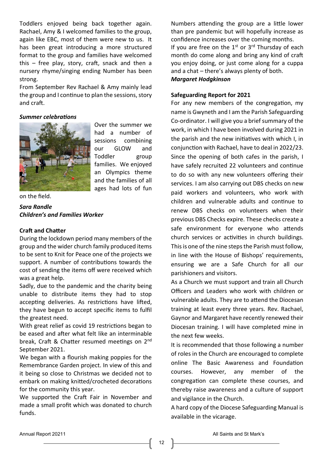Toddlers enjoyed being back together again. Rachael, Amy & I welcomed families to the group, again like EBC, most of them were new to us. It has been great introducing a more structured format to the group and families have welcomed this – free play, story, craft, snack and then a nursery rhyme/singing ending Number has been strong.

From September Rev Rachael & Amy mainly lead the group and I continue to plan the sessions, story and craft.

#### *Summer celebrations*



Over the summer we had a number of sessions combining our GLOW and Toddler group families. We enjoyed an Olympics theme and the families of all ages had lots of fun

on the field.

*Sara Randle Children's and Families Worker*

# **Craft and Chatter**

During the lockdown period many members of the group and the wider church family produced items to be sent to Knit for Peace one of the projects we support. A number of contributions towards the cost of sending the items off were received which was a great help.

Sadly, due to the pandemic and the charity being unable to distribute items they had to stop accepting deliveries. As restrictions have lifted, they have begun to accept specific items to fulfil the greatest need.

With great relief as covid 19 restrictions began to be eased and after what felt like an interminable break, Craft & Chatter resumed meetings on 2nd September 2021.

We began with a flourish making poppies for the Remembrance Garden project. In view of this and it being so close to Christmas we decided not to embark on making knitted/crocheted decorations for the community this year.

We supported the Craft Fair in November and made a small profit which was donated to church funds.

Numbers attending the group are a little lower than pre pandemic but will hopefully increase as confidence increases over the coming months. If you are free on the  $1<sup>st</sup>$  or  $3<sup>rd</sup>$  Thursday of each month do come along and bring any kind of craft you enjoy doing, or just come along for a cuppa and a chat – there's always plenty of both.

*Margaret Hodgkinson*

# **Safeguarding Report for 2021**

For any new members of the congregation, my name is Gwyneth and I am the Parish Safeguarding Co-ordinator. I will give you a brief summary of the work, in which I have been involved during 2021 in the parish and the new initiatives with which I, in conjunction with Rachael, have to deal in 2022/23. Since the opening of both cafes in the parish, I have safely recruited 22 volunteers and continue to do so with any new volunteers offering their services. I am also carrying out DBS checks on new paid workers and volunteers, who work with children and vulnerable adults and continue to renew DBS checks on volunteers when their previous DBS Checks expire. These checks create a safe environment for everyone who attends church services or activities in church buildings. This is one of the nine steps the Parish must follow, in line with the House of Bishops' requirements, ensuring we are a Safe Church for all our parishioners and visitors.

As a Church we must support and train all Church Officers and Leaders who work with children or vulnerable adults. They are to attend the Diocesan training at least every three years. Rev. Rachael, Gaynor and Margaret have recently renewed their Diocesan training. I will have completed mine in the next few weeks.

It is recommended that those following a number of roles in the Church are encouraged to complete online The Basic Awareness and Foundation courses. However, any member of the congregation can complete these courses, and thereby raise awareness and a culture of support and vigilance in the Church.

A hard copy of the Diocese Safeguarding Manual is available in the vicarage.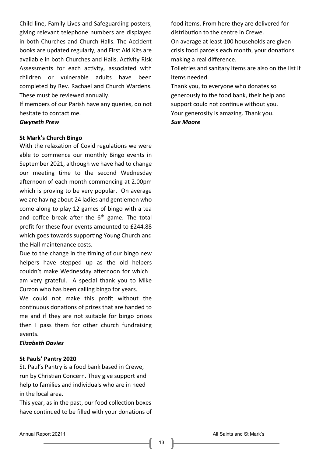Child line, Family Lives and Safeguarding posters, giving relevant telephone numbers are displayed in both Churches and Church Halls. The Accident books are updated regularly, and First Aid Kits are available in both Churches and Halls. Activity Risk Assessments for each activity, associated with children or vulnerable adults have been completed by Rev. Rachael and Church Wardens. These must be reviewed annually.

If members of our Parish have any queries, do not hesitate to contact me.

#### *Gwyneth Prew*

#### **St Mark's Church Bingo**

With the relaxation of Covid regulations we were able to commence our monthly Bingo events in September 2021, although we have had to change our meeting time to the second Wednesday afternoon of each month commencing at 2.00pm which is proving to be very popular. On average we are having about 24 ladies and gentlemen who come along to play 12 games of bingo with a tea and coffee break after the  $6<sup>th</sup>$  game. The total profit for these four events amounted to £244.88 which goes towards supporting Young Church and the Hall maintenance costs.

Due to the change in the timing of our bingo new helpers have stepped up as the old helpers couldn't make Wednesday afternoon for which I am very grateful. A special thank you to Mike Curzon who has been calling bingo for years.

We could not make this profit without the continuous donations of prizes that are handed to me and if they are not suitable for bingo prizes then I pass them for other church fundraising events.

# *Elizabeth Davies*

# **St Pauls' Pantry 2020**

St. Paul's Pantry is a food bank based in Crewe, run by Christian Concern. They give support and help to families and individuals who are in need in the local area.

This year, as in the past, our food collection boxes have continued to be filled with your donations of food items. From here they are delivered for distribution to the centre in Crewe.

On average at least 100 households are given crisis food parcels each month, your donations making a real difference.

Toiletries and sanitary items are also on the list if items needed.

Thank you, to everyone who donates so generously to the food bank, their help and support could not continue without you. Your generosity is amazing. Thank you. *Sue Moore*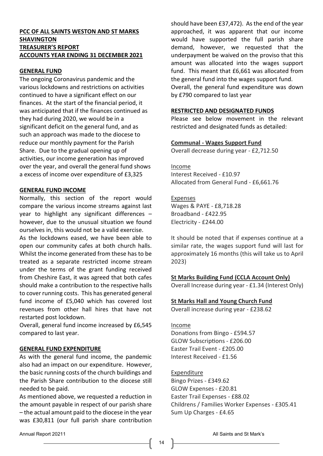# **PCC OF ALL SAINTS WESTON AND ST MARKS SHAVINGTON TREASURER'S REPORT ACCOUNTS YEAR ENDING 31 DECEMBER 2021**

# **GENERAL FUND**

The ongoing Coronavirus pandemic and the various lockdowns and restrictions on activities continued to have a significant effect on our finances. At the start of the financial period, it was anticipated that if the finances continued as they had during 2020, we would be in a significant deficit on the general fund, and as such an approach was made to the diocese to reduce our monthly payment for the Parish Share. Due to the gradual opening up of activities, our income generation has improved over the year, and overall the general fund shows a excess of income over expenditure of £3,325

#### **GENERAL FUND INCOME**

Normally, this section of the report would compare the various income streams against last year to highlight any significant differences – however, due to the unusual situation we found ourselves in, this would not be a valid exercise.

As the lockdowns eased, we have been able to open our community cafes at both church halls. Whilst the income generated from these has to be treated as a separate restricted income stream under the terms of the grant funding received from Cheshire East, it was agreed that both cafes should make a contribution to the respective halls to cover running costs. This has generated general fund income of £5,040 which has covered lost revenues from other hall hires that have not restarted post lockdown.

Overall, general fund income increased by £6,545 compared to last year.

#### **GENERAL FUND EXPENDITURE**

As with the general fund income, the pandemic also had an impact on our expenditure. However, the basic running costs of the church buildings and the Parish Share contribution to the diocese still needed to be paid.

As mentioned above, we requested a reduction in the amount payable in respect of our parish share – the actual amount paid to the diocese in the year was £30,811 (our full parish share contribution

should have been £37,472). As the end of the year approached, it was apparent that our income would have supported the full parish share demand, however, we requested that the underpayment be waived on the proviso that this amount was allocated into the wages support fund. This meant that £6,661 was allocated from the general fund into the wages support fund. Overall, the general fund expenditure was down by £790 compared to last year

#### **RESTRICTED AND DESIGNATED FUNDS**

Please see below movement in the relevant restricted and designated funds as detailed:

#### **Communal - Wages Support Fund**

Overall decrease during year - £2,712.50

Income

Interest Received - £10.97 Allocated from General Fund - £6,661.76

#### Expenses

Wages & PAYE - £8,718.28 Broadband - £422.95 Electricity - £244.00

It should be noted that if expenses continue at a similar rate, the wages support fund will last for approximately 16 months (this will take us to April 2023)

**St Marks Building Fund (CCLA Account Only)** Overall Increase during year - £1.34 (Interest Only)

#### **St Marks Hall and Young Church Fund**

Overall increase during year - £238.62

Income

Donations from Bingo - £594.57 GLOW Subscriptions - £206.00 Easter Trail Event - £205.00 Interest Received - £1.56

#### Expenditure

Bingo Prizes - £349.62 GLOW Expenses - £20.81 Easter Trail Expenses - £88.02 Childrens / Families Worker Expenses - £305.41 Sum Up Charges - £4.65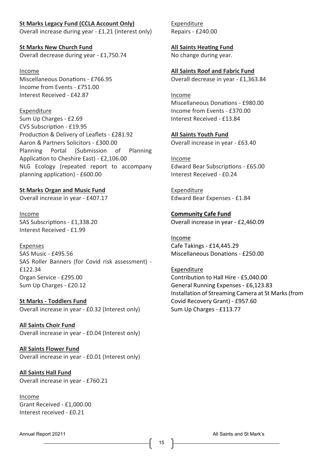**St Marks Legacy Fund (CCLA Account Only)** Overall increase during year - £1.21 (interest only)

**St Marks New Church Fund** Overall decrease during year - £1,750.74

Income Miscellaneous Donations - £766.95 Income from Events - £751.00 Interest Received - £42.87

Expenditure Sum Up Charges - £2.69 CVS Subscription - £19.95 Production & Delivery of Leaflets - £281.92 Aaron & Partners Solicitors - £300.00 Planning Portal (Submission of Planning Application to Cheshire East) - £2,106.00 NLG Ecology (repeated report to accompany planning application) - £600.00

**St Marks Organ and Music Fund** Overall increase in year - £407.17

Income SAS Subscriptions - £1,338.20 Interest Received - £1.99

Expenses SAS Music - £495.56 SAS Roller Banners (for Covid risk assessment) - £122.34 Organ Service - £295.00 Sum Up Charges - £20.12

**St Marks - Toddlers Fund** Overall increase in year - £0.32 (Interest only)

**All Saints Choir Fund** Overall increase in year - £0.04 (Interest only)

**All Saints Flower Fund** Overall increase in year - £0.01 (Interest only)

**All Saints Hall Fund** Overall increase in year - £760.21

Income Grant Received - £1,000.00 Interest received - £0.21

Expenditure Repairs - £240.00

**All Saints Heating Fund** No change during year.

**All Saints Roof and Fabric Fund** Overall decrease in year - £1,363.84

Income Miscellaneous Donations - £980.00 Income from Events - £370.00 Interest Received - £13.84

**All Saints Youth Fund** Overall increase in year - £63.40

Income Edward Bear Subscriptions - £65.00 Interest Received - £0.24

Expenditure Edward Bear Expenses - £1.84

**Community Cafe Fund** Overall increase in year - £2,460.09

Income Cafe Takings - £14,445.29 Miscellaneous Donations - £250.00

Expenditure Contribution to Hall Hire - £5,040.00 General Running Expenses - £6,123.83 Installation of Streaming Camera at St Marks (from Covid Recovery Grant) - £957.60 Sum Up Charges - £113.77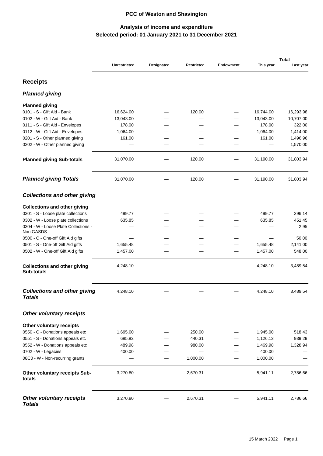# **PCC of Weston and Shavington**

# **Selected period: 01 January 2021 to 31 December 2021 Analysis of income and expenditure**

|                                                   |                     |            |                   |                  |           | <b>Total</b> |
|---------------------------------------------------|---------------------|------------|-------------------|------------------|-----------|--------------|
|                                                   | <b>Unrestricted</b> | Designated | <b>Restricted</b> | <b>Endowment</b> | This year | Last year    |
| <b>Receipts</b>                                   |                     |            |                   |                  |           |              |
| Planned giving                                    |                     |            |                   |                  |           |              |
| <b>Planned giving</b>                             |                     |            |                   |                  |           |              |
| 0101 - S - Gift Aid - Bank                        | 16,624.00           |            | 120.00            |                  | 16,744.00 | 16,293.98    |
| 0102 - W - Gift Aid - Bank                        | 13,043.00           |            |                   |                  | 13,043.00 | 10,707.00    |
| 0111 - S - Gift Aid - Envelopes                   | 178.00              |            |                   |                  | 178.00    | 322.00       |
| 0112 - W - Gift Aid - Envelopes                   | 1,064.00            |            |                   |                  | 1,064.00  | 1,414.00     |
| 0201 - S - Other planned giving                   | 161.00              |            |                   |                  | 161.00    | 1,496.96     |
| 0202 - W - Other planned giving                   |                     |            |                   |                  |           | 1,570.00     |
| <b>Planned giving Sub-totals</b>                  | 31,070.00           |            | 120.00            |                  | 31,190.00 | 31,803.94    |
| <b>Planned giving Totals</b>                      | 31,070.00           |            | 120.00            |                  | 31,190.00 | 31,803.94    |
| Collections and other giving                      |                     |            |                   |                  |           |              |
| <b>Collections and other giving</b>               |                     |            |                   |                  |           |              |
| 0301 - S - Loose plate collections                | 499.77              |            |                   |                  | 499.77    | 296.14       |
| 0302 - W - Loose plate collections                | 635.85              |            |                   |                  | 635.85    | 451.45       |
| 0304 - W - Loose Plate Collections -<br>Non GASDS |                     |            |                   |                  |           | 2.95         |
| 0500 - C - One-off Gift Aid gifts                 |                     |            |                   |                  |           | 50.00        |
| 0501 - S - One-off Gift Aid gifts                 | 1,655.48            |            |                   |                  | 1,655.48  | 2,141.00     |
| 0502 - W - One-off Gift Aid gifts                 | 1,457.00            |            |                   |                  | 1,457.00  | 548.00       |
| <b>Collections and other giving</b><br>Sub-totals | 4,248.10            |            |                   |                  | 4,248.10  | 3,489.54     |
| Collections and other giving<br>Totals            | 4,248.10            |            |                   |                  | 4,248.10  | 3,489.54     |
| Other voluntary receipts                          |                     |            |                   |                  |           |              |
| Other voluntary receipts                          |                     |            |                   |                  |           |              |
| 0550 - C - Donations appeals etc                  | 1,695.00            |            | 250.00            |                  | 1,945.00  | 518.43       |
| 0551 - S - Donations appeals etc                  | 685.82              |            | 440.31            |                  | 1,126.13  | 939.29       |
| 0552 - W - Donations appeals etc                  | 489.98              |            | 980.00            |                  | 1,469.98  | 1,328.94     |
| 0702 - W - Legacies                               | 400.00              |            |                   |                  | 400.00    |              |
| 08C0 - W - Non-recurring grants                   |                     |            | 1,000.00          |                  | 1,000.00  |              |
| Other voluntary receipts Sub-<br>totals           | 3,270.80            |            | 2,670.31          |                  | 5,941.11  | 2,786.66     |
| Other voluntary receipts<br><b>Totals</b>         | 3,270.80            |            | 2,670.31          |                  | 5,941.11  | 2,786.66     |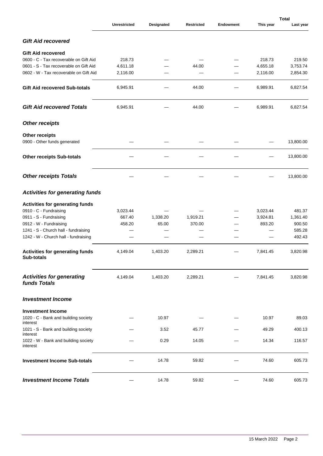|                                                                                  | <b>Unrestricted</b> | Designated | <b>Restricted</b> | <b>Endowment</b> | This year            | <b>Total</b><br>Last year |
|----------------------------------------------------------------------------------|---------------------|------------|-------------------|------------------|----------------------|---------------------------|
| Gift Aid recovered                                                               |                     |            |                   |                  |                      |                           |
|                                                                                  |                     |            |                   |                  |                      |                           |
| <b>Gift Aid recovered</b>                                                        |                     |            |                   |                  |                      |                           |
| 0600 - C - Tax recoverable on Gift Aid                                           | 218.73              |            |                   |                  | 218.73               | 219.50                    |
| 0601 - S - Tax recoverable on Gift Aid<br>0602 - W - Tax recoverable on Gift Aid | 4,611.18            |            | 44.00             |                  | 4,655.18<br>2,116.00 | 3,753.74                  |
|                                                                                  | 2,116.00            |            |                   |                  |                      | 2,854.30                  |
| <b>Gift Aid recovered Sub-totals</b>                                             | 6,945.91            |            | 44.00             |                  | 6,989.91             | 6,827.54                  |
| <b>Gift Aid recovered Totals</b>                                                 | 6,945.91            |            | 44.00             |                  | 6,989.91             | 6,827.54                  |
| Other receipts                                                                   |                     |            |                   |                  |                      |                           |
| <b>Other receipts</b>                                                            |                     |            |                   |                  |                      |                           |
| 0900 - Other funds generated                                                     |                     |            |                   |                  |                      | 13,800.00                 |
| <b>Other receipts Sub-totals</b>                                                 |                     |            |                   |                  |                      | 13,800.00                 |
| Other receipts Totals                                                            |                     |            |                   |                  |                      | 13,800.00                 |
| Activities for generating funds                                                  |                     |            |                   |                  |                      |                           |
| <b>Activities for generating funds</b>                                           |                     |            |                   |                  |                      |                           |
| 0910 - C - Fundraising                                                           | 3,023.44            |            |                   |                  | 3,023.44             | 481.37                    |
| 0911 - S - Fundraising                                                           | 667.40              | 1,338.20   | 1,919.21          |                  | 3,924.81             | 1,361.40                  |
| 0912 - W - Fundraising                                                           | 458.20              | 65.00      | 370.00            |                  | 893.20               | 900.50                    |
| 1241 - S - Church hall - fundraising                                             |                     |            |                   |                  |                      | 585.28                    |
| 1242 - W - Church hall - fundraising                                             |                     |            |                   |                  |                      | 492.43                    |
| Activities for generating funds<br><b>Sub-totals</b>                             | 4,149.04            | 1,403.20   | 2,289.21          |                  | 7,841.45             | 3,820.98                  |
| Activities for generating<br>funds Totals                                        | 4,149.04            | 1,403.20   | 2,289.21          |                  | 7,841.45             | 3,820.98                  |
| Investment Income                                                                |                     |            |                   |                  |                      |                           |
| <b>Investment Income</b>                                                         |                     |            |                   |                  |                      |                           |
| 1020 - C - Bank and building society<br>interest                                 |                     | 10.97      |                   |                  | 10.97                | 89.03                     |
| 1021 - S - Bank and building society<br>interest                                 |                     | 3.52       | 45.77             |                  | 49.29                | 400.13                    |
| 1022 - W - Bank and building society<br>interest                                 |                     | 0.29       | 14.05             |                  | 14.34                | 116.57                    |
| <b>Investment Income Sub-totals</b>                                              |                     | 14.78      | 59.82             |                  | 74.60                | 605.73                    |
| <b>Investment Income Totals</b>                                                  |                     | 14.78      | 59.82             |                  | 74.60                | 605.73                    |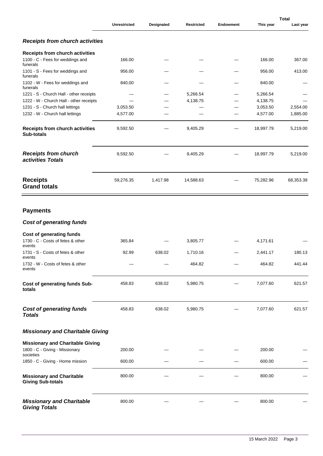|                                                                                        |                     |            |                   |                  |           | <b>Total</b> |  |
|----------------------------------------------------------------------------------------|---------------------|------------|-------------------|------------------|-----------|--------------|--|
|                                                                                        | <b>Unrestricted</b> | Designated | <b>Restricted</b> | <b>Endowment</b> | This year | Last year    |  |
| Receipts from church activities                                                        |                     |            |                   |                  |           |              |  |
| <b>Receipts from church activities</b>                                                 |                     |            |                   |                  |           |              |  |
| 1100 - C - Fees for weddings and<br>funerals                                           | 166.00              |            |                   |                  | 166.00    | 367.00       |  |
| 1101 - S - Fees for weddings and<br>funerals                                           | 956.00              |            |                   |                  | 956.00    | 413.00       |  |
| 1102 - W - Fees for weddings and<br>funerals                                           | 840.00              |            |                   |                  | 840.00    |              |  |
| 1221 - S - Church Hall - other receipts                                                |                     |            | 5,266.54          |                  | 5,266.54  |              |  |
| 1222 - W - Church Hall - other receipts                                                |                     |            | 4,138.75          |                  | 4,138.75  |              |  |
| 1231 - S - Church hall lettings                                                        | 3,053.50            |            |                   |                  | 3,053.50  | 2,554.00     |  |
| 1232 - W - Church hall lettings                                                        | 4,577.00            |            |                   |                  | 4,577.00  | 1,885.00     |  |
| <b>Receipts from church activities</b><br><b>Sub-totals</b>                            | 9,592.50            |            | 9,405.29          |                  | 18,997.79 | 5,219.00     |  |
| Receipts from church<br>activities Totals                                              | 9,592.50            |            | 9,405.29          |                  | 18,997.79 | 5,219.00     |  |
| <b>Receipts</b><br><b>Grand totals</b>                                                 | 59,276.35           | 1,417.98   | 14,588.63         |                  | 75,282.96 | 68,353.39    |  |
| <b>Payments</b><br>Cost of generating funds                                            |                     |            |                   |                  |           |              |  |
| <b>Cost of generating funds</b><br>1730 - C - Costs of fetes & other                   | 365.84              |            | 3,805.77          |                  | 4,171.61  |              |  |
| events<br>1731 - S - Costs of fetes & other                                            | 92.99               | 638.02     | 1,710.16          |                  | 2,441.17  | 180.13       |  |
| events<br>1732 - W - Costs of fetes & other<br>events                                  |                     |            | 464.82            |                  | 464.82    | 441.44       |  |
| Cost of generating funds Sub-<br>totals                                                | 458.83              | 638.02     | 5,980.75          |                  | 7,077.60  | 621.57       |  |
| Cost of generating funds<br><b>Totals</b>                                              | 458.83              | 638.02     | 5,980.75          |                  | 7,077.60  | 621.57       |  |
| Missionary and Charitable Giving                                                       |                     |            |                   |                  |           |              |  |
|                                                                                        |                     |            |                   |                  |           |              |  |
| <b>Missionary and Charitable Giving</b><br>1800 - C - Giving - Missionary<br>societies | 200.00              |            |                   |                  | 200.00    |              |  |
| 1850 - C - Giving - Home mission                                                       | 600.00              |            |                   |                  | 600.00    |              |  |
| <b>Missionary and Charitable</b><br><b>Giving Sub-totals</b>                           | 800.00              |            |                   |                  | 800.00    |              |  |
| Missionary and Charitable<br><b>Giving Totals</b>                                      | 800.00              |            |                   |                  | 800.00    |              |  |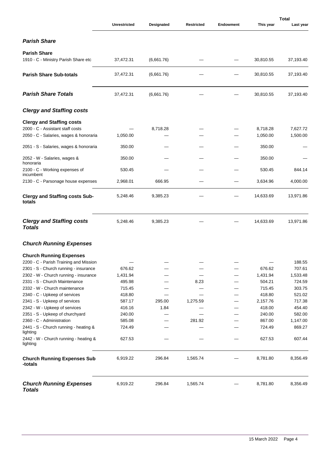|                                                                            | <b>Unrestricted</b> | Designated | <b>Restricted</b> | <b>Endowment</b> | This year            | <b>Total</b><br>Last year |
|----------------------------------------------------------------------------|---------------------|------------|-------------------|------------------|----------------------|---------------------------|
|                                                                            |                     |            |                   |                  |                      |                           |
| Parish Share                                                               |                     |            |                   |                  |                      |                           |
| <b>Parish Share</b>                                                        |                     |            |                   |                  |                      |                           |
| 1910 - C - Ministry Parish Share etc                                       | 37,472.31           | (6,661.76) |                   |                  | 30,810.55            | 37,193.40                 |
| <b>Parish Share Sub-totals</b>                                             | 37,472.31           | (6,661.76) |                   |                  | 30,810.55            | 37,193.40                 |
| <b>Parish Share Totals</b>                                                 | 37,472.31           | (6,661.76) |                   |                  | 30,810.55            | 37,193.40                 |
| <b>Clergy and Staffing costs</b>                                           |                     |            |                   |                  |                      |                           |
| <b>Clergy and Staffing costs</b>                                           |                     |            |                   |                  |                      |                           |
| 2000 - C - Assistant staff costs<br>2050 - C - Salaries, wages & honoraria | 1,050.00            | 8,718.28   |                   |                  | 8,718.28<br>1,050.00 | 7,627.72<br>1,500.00      |
| 2051 - S - Salaries, wages & honoraria                                     | 350.00              |            |                   |                  | 350.00               |                           |
| 2052 - W - Salaries, wages &<br>honoraria                                  | 350.00              |            |                   |                  | 350.00               |                           |
| 2100 - C - Working expenses of<br>incumbent                                | 530.45              |            |                   |                  | 530.45               | 844.14                    |
| 2130 - C - Parsonage house expenses                                        | 2,968.01            | 666.95     |                   |                  | 3,634.96             | 4,000.00                  |
| <b>Clergy and Staffing costs Sub-</b><br>totals                            | 5,248.46            | 9,385.23   |                   |                  | 14,633.69            | 13,971.86                 |
| <b>Clergy and Staffing costs</b><br><b>Totals</b>                          | 5,248.46            | 9,385.23   |                   |                  | 14,633.69            | 13,971.86                 |
| <b>Church Running Expenses</b>                                             |                     |            |                   |                  |                      |                           |
| <b>Church Running Expenses</b>                                             |                     |            |                   |                  |                      |                           |
| 2200 - C - Parish Training and Mission                                     |                     |            |                   |                  |                      | 188.55                    |
| 2301 - S - Church running - insurance                                      | 676.62              |            |                   |                  | 676.62               | 707.61                    |
| 2302 - W - Church running - insurance                                      | 1,431.94            |            |                   |                  | 1,431.94             | 1,533.48                  |
| 2331 - S - Church Maintenance                                              | 495.98              |            | 8.23              |                  | 504.21               | 724.59                    |
| 2332 - W - Church maintenance                                              | 715.45              |            |                   |                  | 715.45               | 303.75                    |
| 2340 - C - Upkeep of services                                              | 418.80              |            |                   |                  | 418.80               | 521.02                    |
| 2341 - S - Upkeep of services                                              | 587.17              | 295.00     | 1,275.59          |                  | 2,157.76             | 717.38                    |
| 2342 - W - Upkeep of services                                              | 416.16              | 1.84       |                   |                  | 418.00               | 454.40                    |
| 2351 - S - Upkeep of churchyard                                            | 240.00              |            |                   |                  | 240.00               | 582.00                    |
| 2360 - C - Administration                                                  | 585.08              |            | 281.92            |                  | 867.00               | 1,147.00                  |
| 2441 - S - Church running - heating &<br>lighting                          | 724.49              |            |                   |                  | 724.49               | 869.27                    |
| 2442 - W - Church running - heating &<br>lighting                          | 627.53              |            |                   |                  | 627.53               | 607.44                    |
| <b>Church Running Expenses Sub</b><br>-totals                              | 6,919.22            | 296.84     | 1,565.74          |                  | 8,781.80             | 8,356.49                  |
| <b>Church Running Expenses</b><br><b>Totals</b>                            | 6,919.22            | 296.84     | 1,565.74          |                  | 8,781.80             | 8,356.49                  |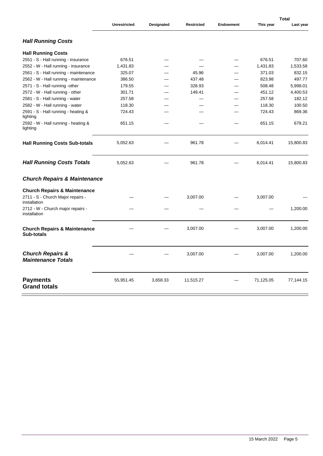|                                                              | <b>Unrestricted</b> | Designated | <b>Restricted</b> | Endowment | This year | Last year |
|--------------------------------------------------------------|---------------------|------------|-------------------|-----------|-----------|-----------|
| <b>Hall Running Costs</b>                                    |                     |            |                   |           |           |           |
| <b>Hall Running Costs</b>                                    |                     |            |                   |           |           |           |
| 2551 - S - Hall running - insurance                          | 676.51              |            |                   |           | 676.51    | 707.60    |
| 2552 - W - Hall running - insurance                          | 1,431.83            |            |                   |           | 1,431.83  | 1,533.58  |
| 2561 - S - Hall running - maintenance                        | 325.07              |            | 45.96             |           | 371.03    | 832.15    |
| 2562 - W - Hall running - maintenance                        | 386.50              |            | 437.48            |           | 823.98    | 497.77    |
| 2571 - S - Hall running -other                               | 179.55              |            | 328.93            |           | 508.48    | 5,998.01  |
| 2572 - W - Hall running - other                              | 301.71              |            | 149.41            |           | 451.12    | 4,400.53  |
| 2581 - S - Hall running - water                              | 257.58              |            |                   |           | 257.58    | 182.12    |
| 2582 - W - Hall running - water                              | 118.30              |            |                   |           | 118.30    | 100.50    |
| 2591 - S - Hall running - heating &<br>lighting              | 724.43              |            |                   |           | 724.43    | 869.36    |
| 2592 - W - Hall running - heating &<br>lighting              | 651.15              |            |                   |           | 651.15    | 679.21    |
| <b>Hall Running Costs Sub-totals</b>                         | 5,052.63            |            | 961.78            |           | 6,014.41  | 15,800.83 |
| <b>Hall Running Costs Totals</b>                             | 5,052.63            |            | 961.78            |           | 6,014.41  | 15,800.83 |
| Church Repairs & Maintenance                                 |                     |            |                   |           |           |           |
| <b>Church Repairs &amp; Maintenance</b>                      |                     |            |                   |           |           |           |
| 2711 - S - Church Major repairs -<br>installation            |                     |            | 3,007.00          |           | 3,007.00  |           |
| 2712 - W - Church major repairs -<br>installation            |                     |            |                   |           |           | 1,200.00  |
| <b>Church Repairs &amp; Maintenance</b><br><b>Sub-totals</b> |                     |            | 3,007.00          |           | 3,007.00  | 1,200.00  |
| Church Repairs &<br><b>Maintenance Totals</b>                |                     |            | 3,007.00          |           | 3,007.00  | 1,200.00  |
| <b>Payments</b><br><b>Grand totals</b>                       | 55,951.45           | 3,658.33   | 11,515.27         |           | 71,125.05 | 77,144.15 |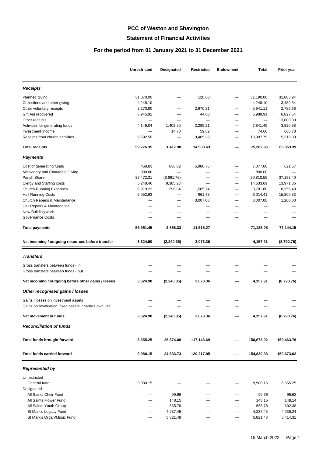# **PCC of Weston and Shavington**

#### **Statement of Financial Activities**

# **For the period from 01 January 2021 to 31 December 2021**

|                                                       | <b>Unrestricted</b> | Designated  | <b>Restricted</b> | Endowment                | Total      | Prior year |
|-------------------------------------------------------|---------------------|-------------|-------------------|--------------------------|------------|------------|
| Receipts                                              |                     |             |                   |                          |            |            |
| Planned giving                                        | 31,070.00           |             | 120.00            | $\overline{\phantom{0}}$ | 31,190.00  | 31,803.94  |
| Collections and other giving                          | 4,248.10            |             |                   |                          | 4,248.10   | 3,489.54   |
| Other voluntary receipts                              | 3,270.80            |             | 2,670.31          | $\overline{\phantom{0}}$ | 5,941.11   | 2,786.66   |
| Gift Aid recovered                                    | 6,945.91            |             | 44.00             | —                        | 6,989.91   | 6,827.54   |
| Other receipts                                        |                     |             |                   |                          |            | 13,800.00  |
| Activities for generating funds                       | 4,149.04            | 1,403.20    | 2,289.21          |                          | 7,841.45   | 3,820.98   |
| Investment Income                                     |                     | 14.78       | 59.82             |                          | 74.60      | 605.73     |
| Receipts from church activities                       | 9,592.50            |             | 9,405.29          | —                        | 18,997.79  | 5,219.00   |
| <b>Total receipts</b>                                 | 59,276.35           | 1,417.98    | 14,588.63         |                          | 75,282.96  | 68,353.39  |
| Payments                                              |                     |             |                   |                          |            |            |
| Cost of generating funds                              | 458.83              | 638.02      | 5,980.75          | —                        | 7,077.60   | 621.57     |
| Missionary and Charitable Giving                      | 800.00              |             |                   |                          | 800.00     |            |
| Parish Share                                          | 37,472.31           | (6,661.76)  |                   |                          | 30,810.55  | 37,193.40  |
| Clergy and Staffing costs                             | 5,248.46            | 9,385.23    |                   | $\overline{\phantom{0}}$ | 14,633.69  | 13,971.86  |
| <b>Church Running Expenses</b>                        | 6,919.22            | 296.84      | 1,565.74          | —                        | 8,781.80   | 8,356.49   |
| <b>Hall Running Costs</b>                             | 5,052.63            |             | 961.78            | $\overline{\phantom{0}}$ | 6,014.41   | 15,800.83  |
| Church Repairs & Maintenance                          |                     |             | 3,007.00          |                          | 3,007.00   | 1,200.00   |
| Hall Repairs & Maintenance                            |                     |             |                   |                          |            |            |
| New Building work                                     |                     |             |                   |                          |            |            |
| <b>Governance Costs</b>                               |                     |             |                   |                          |            |            |
| <b>Total payments</b>                                 | 55,951.45           | 3,658.33    | 11,515.27         |                          | 71,125.05  | 77,144.15  |
| Net incoming / outgoing resources before transfer     | 3,324.90            | (2, 240.35) | 3,073.36          |                          | 4,157.91   | (8,790.76) |
| Transfers                                             |                     |             |                   |                          |            |            |
|                                                       |                     |             |                   |                          |            |            |
| Gross transfers between funds - in                    |                     |             |                   |                          |            |            |
| Gross transfers between funds - out                   |                     |             |                   |                          |            |            |
| Net incoming / outgoing before other gains / losses   | 3,324.90            | (2, 240.35) | 3,073.36          |                          | 4,157.91   | (8,790.76) |
| Other recognised gains / losses                       |                     |             |                   |                          |            |            |
| Gains / losses on investment assets                   |                     |             |                   |                          |            |            |
| Gains on revaluation, fixed assets, charity's own use |                     |             |                   |                          |            |            |
| Net movement in funds                                 | 3,324.90            | (2, 240.35) | 3,073.36          |                          | 4,157.91   | (8,790.76) |
| Reconciliation of funds                               |                     |             |                   |                          |            |            |
| Total funds brought forward                           | 6,655.25            | 26,874.08   | 117,143.69        |                          | 150,673.02 | 159,463.78 |
|                                                       |                     |             |                   |                          |            |            |
| <b>Total funds carried forward</b>                    | 9,980.15            | 24,633.73   | 120,217.05        |                          | 154,830.93 | 150,673.02 |
| Represented by                                        |                     |             |                   |                          |            |            |
| Unrestricted                                          |                     |             |                   |                          |            |            |
| General fund                                          | 9,980.15            |             |                   |                          | 9,980.15   | 6,655.25   |
| Designated                                            |                     |             |                   |                          |            |            |
| All Saints Choir Fund                                 |                     | 99.66       |                   |                          | 99.66      | 99.62      |
| All Saints Flower Fund                                |                     | 148.15      |                   |                          | 148.15     | 148.14     |
| All Saints Youth Group                                |                     | 665.78      |                   |                          | 665.78     | 602.38     |
| St Mark's Legacy Fund                                 |                     | 4,237.45    |                   | —                        | 4,237.45   | 4,236.24   |
| St Mark's Organ/Music Fund                            |                     | 5,821.48    |                   |                          | 5,821.48   | 5,414.31   |
|                                                       |                     |             |                   |                          |            |            |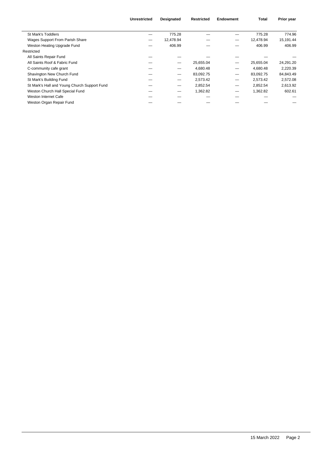|                                              | <b>Unrestricted</b> | <b>Designated</b> | <b>Restricted</b> | Endowment | Total     | Prior year |
|----------------------------------------------|---------------------|-------------------|-------------------|-----------|-----------|------------|
| St Mark's Toddlers                           |                     | 775.28            |                   |           | 775.28    | 774.96     |
|                                              |                     |                   |                   |           |           |            |
| Wages Support From Parish Share              |                     | 12.478.94         |                   | –         | 12,478.94 | 15,191.44  |
| Weston Heating Upgrade Fund                  |                     | 406.99            |                   |           | 406.99    | 406.99     |
| Restricted                                   |                     |                   |                   |           |           |            |
| All Saints Repair Fund                       |                     |                   |                   |           |           |            |
| All Saints Roof & Fabric Fund                |                     |                   | 25,655.04         |           | 25,655.04 | 24,291.20  |
| C-community cafe grant                       |                     |                   | 4,680.48          | —         | 4,680.48  | 2,220.39   |
| Shavington New Church Fund                   |                     |                   | 83,092.75         | —         | 83,092.75 | 84,843.49  |
| St Mark's Building Fund                      |                     |                   | 2,573.42          | –         | 2,573.42  | 2,572.08   |
| St Mark's Hall and Young Church Support Fund |                     |                   | 2,852.54          | -         | 2,852.54  | 2,613.92   |
| Weston Church Hall Special Fund              |                     |                   | 1,362.82          | –         | 1,362.82  | 602.61     |
| Weston Internet Cafe                         |                     |                   |                   |           |           |            |
| Weston Organ Repair Fund                     |                     |                   |                   |           |           |            |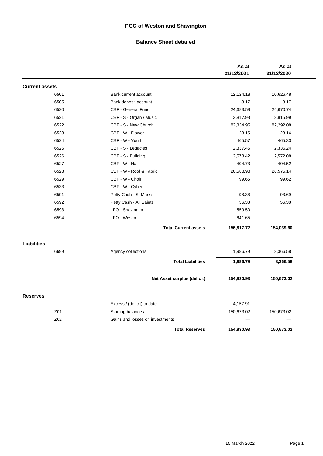# **PCC of Weston and Shavington**

#### **Balance Sheet detailed**

|                       |      |                                 |                             | As at<br>31/12/2021 | As at<br>31/12/2020 |
|-----------------------|------|---------------------------------|-----------------------------|---------------------|---------------------|
| <b>Current assets</b> |      |                                 |                             |                     |                     |
|                       | 6501 | Bank current account            |                             | 12,124.18           | 10,626.48           |
|                       | 6505 | Bank deposit account            |                             | 3.17                | 3.17                |
|                       | 6520 | CBF - General Fund              |                             | 24,683.59           | 24,670.74           |
|                       | 6521 | CBF - S - Organ / Music         |                             | 3,817.98            | 3,815.99            |
|                       | 6522 | CBF - S - New Church            |                             | 82,334.95           | 82,292.08           |
|                       | 6523 | CBF - W - Flower                |                             | 28.15               | 28.14               |
|                       | 6524 | CBF - W - Youth                 |                             | 465.57              | 465.33              |
|                       | 6525 | CBF - S - Legacies              |                             | 2,337.45            | 2,336.24            |
|                       | 6526 | CBF - S - Building              |                             | 2,573.42            | 2,572.08            |
|                       | 6527 | CBF - W - Hall                  |                             | 404.73              | 404.52              |
|                       | 6528 | CBF - W - Roof & Fabric         |                             | 26,588.98           | 26,575.14           |
|                       | 6529 | CBF - W - Choir                 |                             | 99.66               | 99.62               |
|                       | 6533 | CBF - W - Cyber                 |                             |                     |                     |
|                       | 6591 | Petty Cash - St Mark's          |                             | 98.36               | 93.69               |
|                       | 6592 | Petty Cash - All Saints         |                             | 56.38               | 56.38               |
|                       | 6593 | LFO - Shavington                |                             | 559.50              |                     |
|                       | 6594 | LFO - Weston                    |                             | 641.65              |                     |
|                       |      |                                 | <b>Total Current assets</b> | 156,817.72          | 154,039.60          |
| <b>Liabilities</b>    |      |                                 |                             |                     |                     |
|                       | 6699 | Agency collections              |                             | 1,986.79            | 3,366.58            |
|                       |      |                                 | <b>Total Liabilities</b>    | 1,986.79            | 3,366.58            |
|                       |      |                                 | Net Asset surplus (deficit) | 154,830.93          | 150,673.02          |
|                       |      |                                 |                             |                     |                     |
| <b>Reserves</b>       |      | Excess / (deficit) to date      |                             | 4,157.91            |                     |
|                       | Z01  | Starting balances               |                             | 150,673.02          | 150,673.02          |
|                       | Z02  | Gains and losses on investments |                             |                     |                     |
|                       |      |                                 |                             |                     |                     |
|                       |      |                                 | <b>Total Reserves</b>       | 154,830.93          | 150,673.02          |